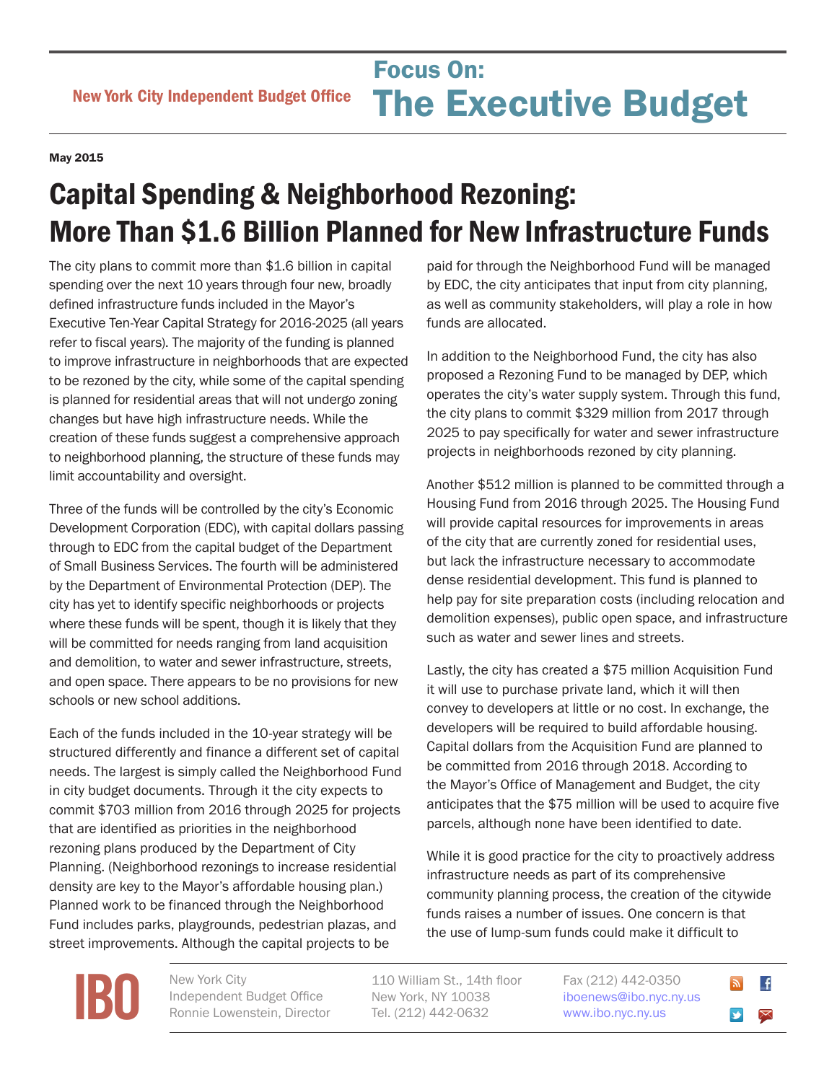## May 2015

## Capital Spending & Neighborhood Rezoning: More Than \$1.6 Billion Planned for New Infrastructure Funds

The city plans to commit more than \$1.6 billion in capital spending over the next 10 years through four new, broadly defined infrastructure funds included in the Mayor's Executive Ten-Year Capital Strategy for 2016-2025 (all years refer to fiscal years). The majority of the funding is planned to improve infrastructure in neighborhoods that are expected to be rezoned by the city, while some of the capital spending is planned for residential areas that will not undergo zoning changes but have high infrastructure needs. While the creation of these funds suggest a comprehensive approach to neighborhood planning, the structure of these funds may limit accountability and oversight.

Three of the funds will be controlled by the city's Economic Development Corporation (EDC), with capital dollars passing through to EDC from the capital budget of the Department of Small Business Services. The fourth will be administered by the Department of Environmental Protection (DEP). The city has yet to identify specific neighborhoods or projects where these funds will be spent, though it is likely that they will be committed for needs ranging from land acquisition and demolition, to water and sewer infrastructure, streets, and open space. There appears to be no provisions for new schools or new school additions.

Each of the funds included in the 10-year strategy will be structured differently and finance a different set of capital needs. The largest is simply called the Neighborhood Fund in city budget documents. Through it the city expects to commit \$703 million from 2016 through 2025 for projects that are identified as priorities in the neighborhood rezoning plans produced by the Department of City Planning. (Neighborhood rezonings to increase residential density are key to the Mayor's affordable housing plan.) Planned work to be financed through the Neighborhood Fund includes parks, playgrounds, pedestrian plazas, and street improvements. Although the capital projects to be

paid for through the Neighborhood Fund will be managed by EDC, the city anticipates that input from city planning, as well as community stakeholders, will play a role in how funds are allocated.

In addition to the Neighborhood Fund, the city has also proposed a Rezoning Fund to be managed by DEP, which operates the city's water supply system. Through this fund, the city plans to commit \$329 million from 2017 through 2025 to pay specifically for water and sewer infrastructure projects in neighborhoods rezoned by city planning.

Another \$512 million is planned to be committed through a Housing Fund from 2016 through 2025. The Housing Fund will provide capital resources for improvements in areas of the city that are currently zoned for residential uses, but lack the infrastructure necessary to accommodate dense residential development. This fund is planned to help pay for site preparation costs (including relocation and demolition expenses), public open space, and infrastructure such as water and sewer lines and streets.

Lastly, the city has created a \$75 million Acquisition Fund it will use to purchase private land, which it will then convey to developers at little or no cost. In exchange, the developers will be required to build affordable housing. Capital dollars from the Acquisition Fund are planned to be committed from 2016 through 2018. According to the Mayor's Office of Management and Budget, the city anticipates that the \$75 million will be used to acquire five parcels, although none have been identified to date.

While it is good practice for the city to proactively address infrastructure needs as part of its comprehensive community planning process, the creation of the citywide funds raises a number of issues. One concern is that the use of lump-sum funds could make it difficult to

**[IBO](http://www.ibo.nyc.ny.us)** New York City<br>
Independent<br>
Ronnie Lower

Independent Budget Office Ronnie Lowenstein, Director 110 William St., 14th floor New York, NY 10038 Tel. (212) 442-0632

Fax (212) 442-0350 [iboenews@ibo.nyc.ny.us](mailto:iboenews%40ibo.nyc.ny.us?subject=)  <www.ibo.nyc.ny.us>

 $\overline{f}$  $\blacktriangleright$  $\bm{\times}$